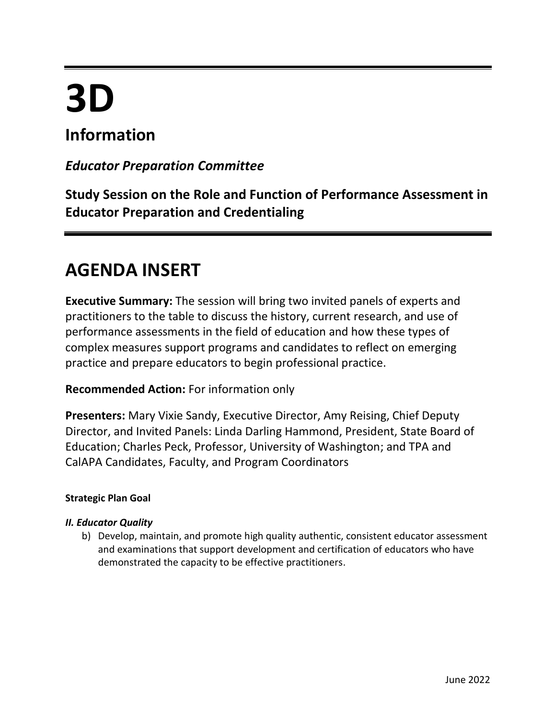# **3D**

## **Information**

### *Educator Preparation Committee*

**Study Session on the Role and Function of Performance Assessment in Educator Preparation and Credentialing** 

## **AGENDA INSERT**

**Executive Summary:** The session will bring two invited panels of experts and practitioners to the table to discuss the history, current research, and use of performance assessments in the field of education and how these types of complex measures support programs and candidates to reflect on emerging practice and prepare educators to begin professional practice.

#### **Recommended Action:** For information only

**Presenters:** Mary Vixie Sandy, Executive Director, Amy Reising, Chief Deputy Director, and Invited Panels: Linda Darling Hammond, President, State Board of Education; Charles Peck, Professor, University of Washington; and TPA and CalAPA Candidates, Faculty, and Program Coordinators

#### **Strategic Plan Goal**

#### *II. Educator Quality*

b) Develop, maintain, and promote high quality authentic, consistent educator assessment and examinations that support development and certification of educators who have demonstrated the capacity to be effective practitioners.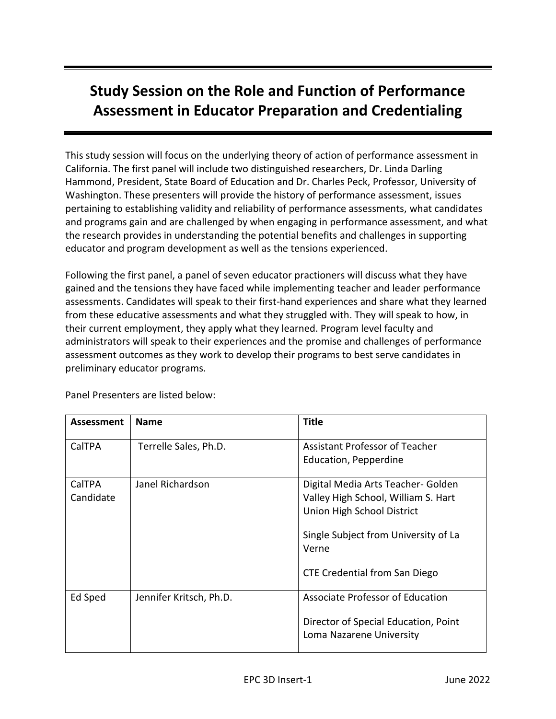## **Study Session on the Role and Function of Performance Assessment in Educator Preparation and Credentialing**

This study session will focus on the underlying theory of action of performance assessment in California. The first panel will include two distinguished researchers, Dr. Linda Darling Hammond, President, State Board of Education and Dr. Charles Peck, Professor, University of Washington. These presenters will provide the history of performance assessment, issues pertaining to establishing validity and reliability of performance assessments, what candidates and programs gain and are challenged by when engaging in performance assessment, and what the research provides in understanding the potential benefits and challenges in supporting educator and program development as well as the tensions experienced.

Following the first panel, a panel of seven educator practioners will discuss what they have gained and the tensions they have faced while implementing teacher and leader performance assessments. Candidates will speak to their first-hand experiences and share what they learned from these educative assessments and what they struggled with. They will speak to how, in their current employment, they apply what they learned. Program level faculty and administrators will speak to their experiences and the promise and challenges of performance assessment outcomes as they work to develop their programs to best serve candidates in preliminary educator programs.

| <b>Assessment</b> | <b>Name</b>             | <b>Title</b>                          |
|-------------------|-------------------------|---------------------------------------|
| CalTPA            | Terrelle Sales, Ph.D.   | <b>Assistant Professor of Teacher</b> |
|                   |                         | Education, Pepperdine                 |
| CalTPA            | Janel Richardson        | Digital Media Arts Teacher- Golden    |
| Candidate         |                         | Valley High School, William S. Hart   |
|                   |                         | Union High School District            |
|                   |                         | Single Subject from University of La  |
|                   |                         | Verne                                 |
|                   |                         | <b>CTE Credential from San Diego</b>  |
| Ed Sped           | Jennifer Kritsch, Ph.D. | Associate Professor of Education      |
|                   |                         | Director of Special Education, Point  |
|                   |                         | Loma Nazarene University              |

Panel Presenters are listed below: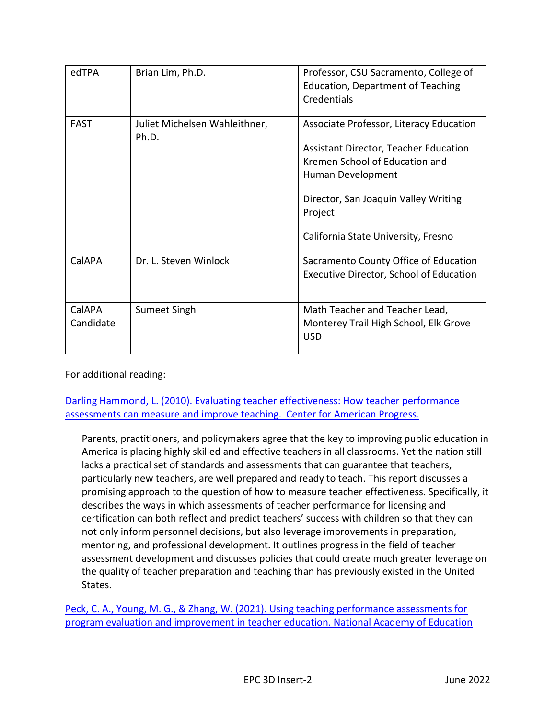| edTPA               | Brian Lim, Ph.D.                       | Professor, CSU Sacramento, College of<br><b>Education, Department of Teaching</b><br>Credentials                                                                                                                                  |
|---------------------|----------------------------------------|-----------------------------------------------------------------------------------------------------------------------------------------------------------------------------------------------------------------------------------|
| <b>FAST</b>         | Juliet Michelsen Wahleithner,<br>Ph.D. | Associate Professor, Literacy Education<br>Assistant Director, Teacher Education<br>Kremen School of Education and<br>Human Development<br>Director, San Joaquin Valley Writing<br>Project<br>California State University, Fresno |
| CalAPA              | Dr. L. Steven Winlock                  | Sacramento County Office of Education<br><b>Executive Director, School of Education</b>                                                                                                                                           |
| CalAPA<br>Candidate | Sumeet Singh                           | Math Teacher and Teacher Lead,<br>Monterey Trail High School, Elk Grove<br><b>USD</b>                                                                                                                                             |

For additional reading:

[Darling Hammond, L. \(2010\). Evaluating teacher effectiveness: How teacher performance](https://edpolicy.stanford.edu/sites/default/files/publications/evaluating-teacher-effectiveness_0.pdf)  [assessments can measure and improve teaching. Center for American Progress.](https://edpolicy.stanford.edu/sites/default/files/publications/evaluating-teacher-effectiveness_0.pdf)

Parents, practitioners, and policymakers agree that the key to improving public education in America is placing highly skilled and effective teachers in all classrooms. Yet the nation still lacks a practical set of standards and assessments that can guarantee that teachers, particularly new teachers, are well prepared and ready to teach. This report discusses a promising approach to the question of how to measure teacher effectiveness. Specifically, it describes the ways in which assessments of teacher performance for licensing and certification can both reflect and predict teachers' success with children so that they can not only inform personnel decisions, but also leverage improvements in preparation, mentoring, and professional development. It outlines progress in the field of teacher assessment development and discusses policies that could create much greater leverage on the quality of teacher preparation and teaching than has previously existed in the United States.

Peck, C. A., Young, M. G., & Zhang, W. (2021). Using teaching performance assessments for [program evaluation and improvement in teacher education. National Academy of Education](https://naeducation.org/wp-content/uploads/2021/11/Revised-Final-pp-for-NAEd-EITPP-Paper-6-Peck_Young_Zhang.pdf)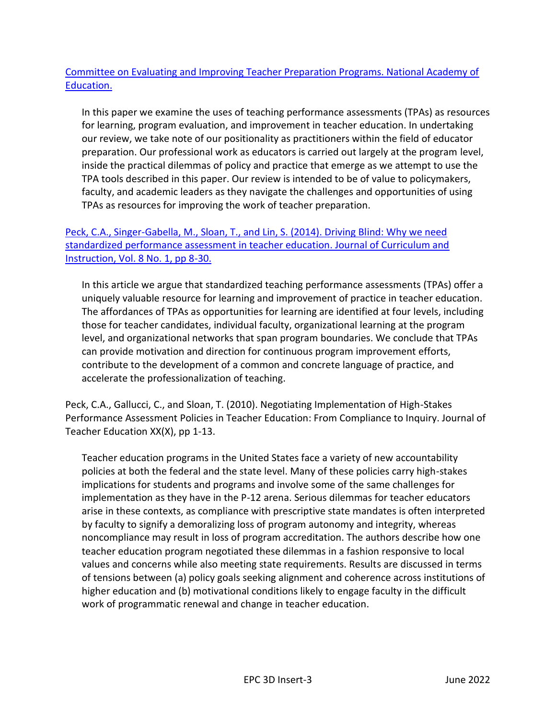#### [Committee on Evaluating and Improving Teacher Preparation Programs. National Academy of](https://naeducation.org/wp-content/uploads/2021/11/Revised-Final-pp-for-NAEd-EITPP-Paper-6-Peck_Young_Zhang.pdf)  [Education.](https://naeducation.org/wp-content/uploads/2021/11/Revised-Final-pp-for-NAEd-EITPP-Paper-6-Peck_Young_Zhang.pdf)

In this paper we examine the uses of teaching performance assessments (TPAs) as resources for learning, program evaluation, and improvement in teacher education. In undertaking our review, we take note of our positionality as practitioners within the field of educator preparation. Our professional work as educators is carried out largely at the program level, inside the practical dilemmas of policy and practice that emerge as we attempt to use the TPA tools described in this paper. Our review is intended to be of value to policymakers, faculty, and academic leaders as they navigate the challenges and opportunities of using TPAs as resources for improving the work of teacher preparation.

#### [Peck, C.A., Singer-Gabella, M., Sloan, T., and Lin, S. \(2014\). Driving Blind: Why we need](https://www.researchgate.net/profile/Charles-Peck-3/publication/269556831_Driving_Blind_Why_We_Need_Standardized_Performance_Assessment_In_Teacher_Education/links/5820aa0208ae40da2cb4f4b9/Driving-Blind-Why-We-Need-Standardized-Performance-Assessment-In-Teacher-Education.pdf?_sg%5B0%5D=started_experiment_milestone&origin=journalDetail)  [standardized performance assessment in teacher education. Journal of Curriculum and](https://www.researchgate.net/profile/Charles-Peck-3/publication/269556831_Driving_Blind_Why_We_Need_Standardized_Performance_Assessment_In_Teacher_Education/links/5820aa0208ae40da2cb4f4b9/Driving-Blind-Why-We-Need-Standardized-Performance-Assessment-In-Teacher-Education.pdf?_sg%5B0%5D=started_experiment_milestone&origin=journalDetail)  [Instruction, Vol. 8 No. 1, pp 8-30.](https://www.researchgate.net/profile/Charles-Peck-3/publication/269556831_Driving_Blind_Why_We_Need_Standardized_Performance_Assessment_In_Teacher_Education/links/5820aa0208ae40da2cb4f4b9/Driving-Blind-Why-We-Need-Standardized-Performance-Assessment-In-Teacher-Education.pdf?_sg%5B0%5D=started_experiment_milestone&origin=journalDetail)

In this article we argue that standardized teaching performance assessments (TPAs) offer a uniquely valuable resource for learning and improvement of practice in teacher education. The affordances of TPAs as opportunities for learning are identified at four levels, including those for teacher candidates, individual faculty, organizational learning at the program level, and organizational networks that span program boundaries. We conclude that TPAs can provide motivation and direction for continuous program improvement efforts, contribute to the development of a common and concrete language of practice, and accelerate the professionalization of teaching.

Peck, C.A., Gallucci, C., and Sloan, T. (2010). Negotiating Implementation of High-Stakes Performance Assessment Policies in Teacher Education: From Compliance to Inquiry. Journal of Teacher Education XX(X), pp 1-13.

Teacher education programs in the United States face a variety of new accountability policies at both the federal and the state level. Many of these policies carry high-stakes implications for students and programs and involve some of the same challenges for implementation as they have in the P-12 arena. Serious dilemmas for teacher educators arise in these contexts, as compliance with prescriptive state mandates is often interpreted by faculty to signify a demoralizing loss of program autonomy and integrity, whereas noncompliance may result in loss of program accreditation. The authors describe how one teacher education program negotiated these dilemmas in a fashion responsive to local values and concerns while also meeting state requirements. Results are discussed in terms of tensions between (a) policy goals seeking alignment and coherence across institutions of higher education and (b) motivational conditions likely to engage faculty in the difficult work of programmatic renewal and change in teacher education.